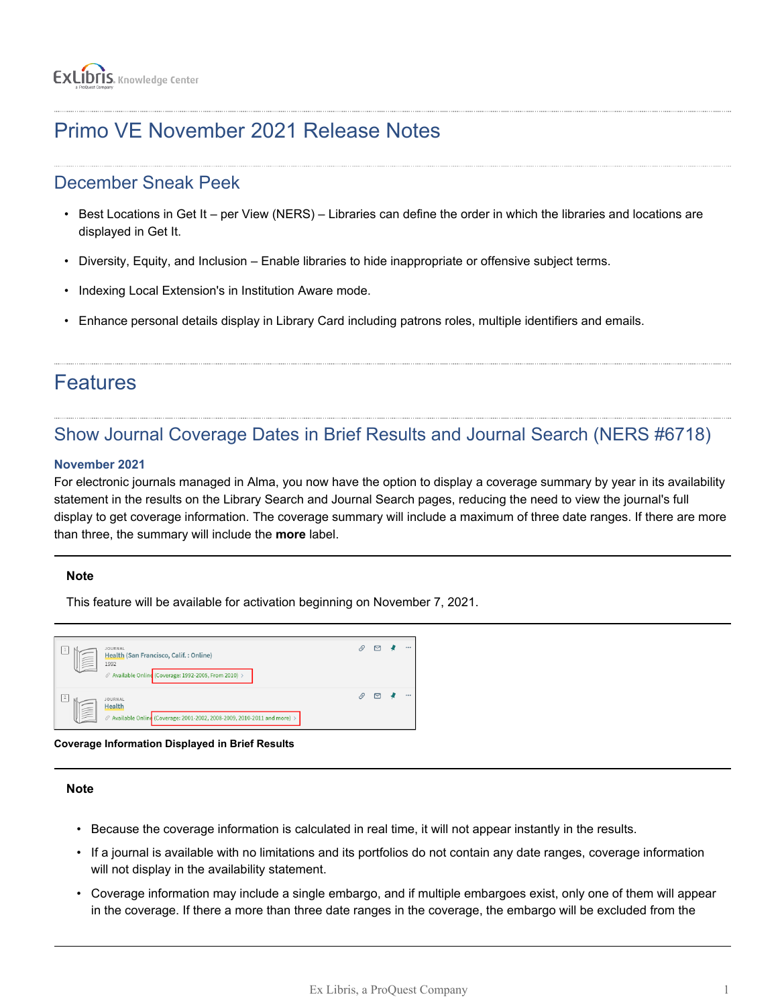# Primo VE November 2021 Release Notes

## December Sneak Peek

- Best Locations in Get It per View (NERS) Libraries can define the order in which the libraries and locations are displayed in Get It.
- Diversity, Equity, and Inclusion Enable libraries to hide inappropriate or offensive subject terms.
- Indexing Local Extension's in Institution Aware mode.
- Enhance personal details display in Library Card including patrons roles, multiple identifiers and emails.

## Features

## Show Journal Coverage Dates in Brief Results and Journal Search (NERS #6718)

### **November 2021**

For electronic journals managed in Alma, you now have the option to display a coverage summary by year in its availability statement in the results on the Library Search and Journal Search pages, reducing the need to view the journal's full display to get coverage information. The coverage summary will include a maximum of three date ranges. If there are more than three, the summary will include the **more** label.

### **Note**

This feature will be available for activation beginning on November 7, 2021.



**Coverage Information Displayed in Brief Results**

### **Note**

- Because the coverage information is calculated in real time, it will not appear instantly in the results.
- If a journal is available with no limitations and its portfolios do not contain any date ranges, coverage information will not display in the availability statement.
- Coverage information may include a single embargo, and if multiple embargoes exist, only one of them will appear in the coverage. If there a more than three date ranges in the coverage, the embargo will be excluded from the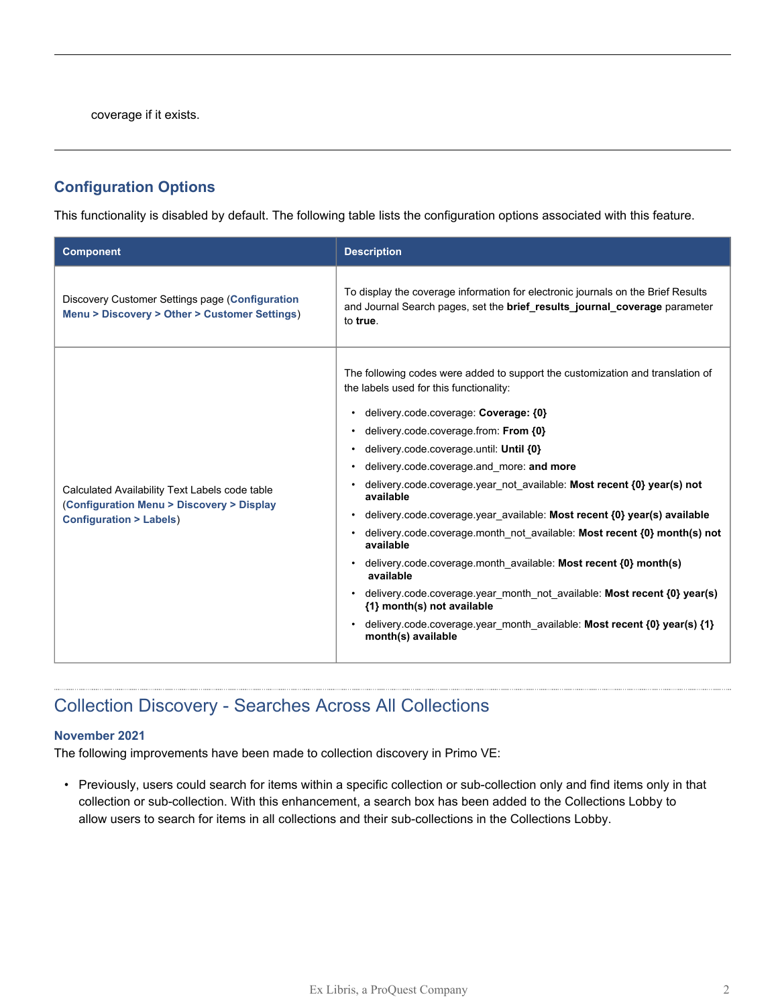coverage if it exists.

### **Configuration Options**

This functionality is disabled by default. The following table lists the configuration options associated with this feature.

| <b>Component</b>                                                                                                                 | <b>Description</b>                                                                                                                                                                                                                                                                                                                                                                                                                                                                                                                                                                                                                                                                                                                                                                                                                                                                     |
|----------------------------------------------------------------------------------------------------------------------------------|----------------------------------------------------------------------------------------------------------------------------------------------------------------------------------------------------------------------------------------------------------------------------------------------------------------------------------------------------------------------------------------------------------------------------------------------------------------------------------------------------------------------------------------------------------------------------------------------------------------------------------------------------------------------------------------------------------------------------------------------------------------------------------------------------------------------------------------------------------------------------------------|
| Discovery Customer Settings page (Configuration<br>Menu > Discovery > Other > Customer Settings)                                 | To display the coverage information for electronic journals on the Brief Results<br>and Journal Search pages, set the brief_results_journal_coverage parameter<br>to true.                                                                                                                                                                                                                                                                                                                                                                                                                                                                                                                                                                                                                                                                                                             |
| Calculated Availability Text Labels code table<br>(Configuration Menu > Discovery > Display<br><b>Configuration &gt; Labels)</b> | The following codes were added to support the customization and translation of<br>the labels used for this functionality:<br>delivery.code.coverage: Coverage: {0}<br>delivery.code.coverage.from: From {0}<br>delivery.code.coverage.until: Until {0}<br>$\bullet$<br>delivery.code.coverage.and more: and more<br>delivery.code.coverage.year not available: Most recent {0} year(s) not<br>available<br>delivery.code.coverage.year available: Most recent {0} year(s) available<br>delivery.code.coverage.month not available: Most recent {0} month(s) not<br>available<br>delivery.code.coverage.month available: Most recent {0} month(s)<br>$\bullet$<br>available<br>delivery.code.coverage.year_month_not_available: Most recent {0} year(s)<br>{1} month(s) not available<br>delivery.code.coverage.year month available: Most recent {0} year(s) {1}<br>month(s) available |

## Collection Discovery - Searches Across All Collections

#### **November 2021**

The following improvements have been made to collection discovery in Primo VE:

• Previously, users could search for items within a specific collection or sub-collection only and find items only in that collection or sub-collection. With this enhancement, a search box has been added to the Collections Lobby to allow users to search for items in all collections and their sub-collections in the Collections Lobby.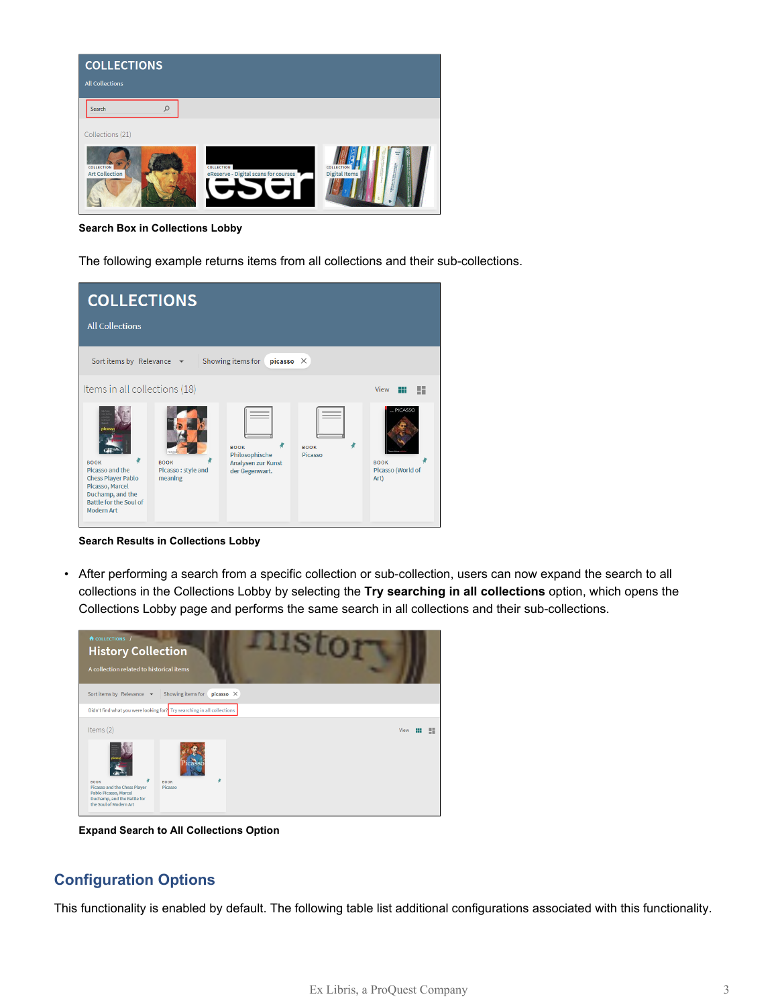

**Search Box in Collections Lobby**

The following example returns items from all collections and their sub-collections.



**Search Results in Collections Lobby**

• After performing a search from a specific collection or sub-collection, users can now expand the search to all collections in the Collections Lobby by selecting the **Try searching in all collections** option, which opens the Collections Lobby page and performs the same search in all collections and their sub-collections.



**Expand Search to All Collections Option**

### **Configuration Options**

This functionality is enabled by default. The following table list additional configurations associated with this functionality.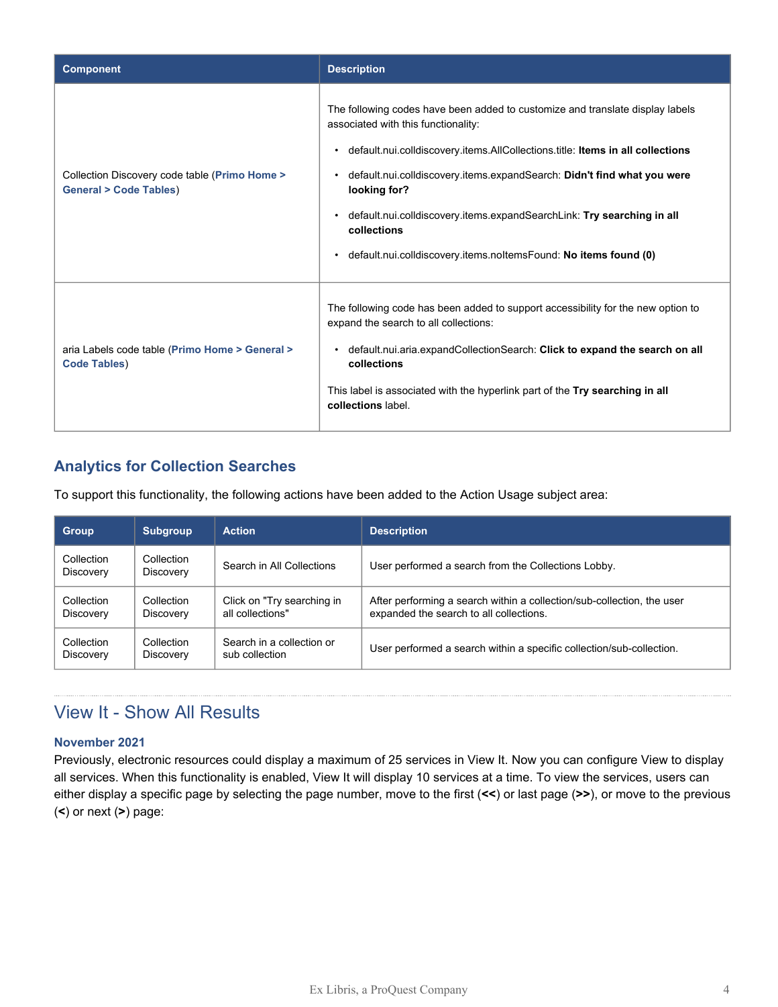| <b>Component</b>                                                                  | <b>Description</b>                                                                                                                                                                                                                                                                                                                                                                                                                                                                                      |
|-----------------------------------------------------------------------------------|---------------------------------------------------------------------------------------------------------------------------------------------------------------------------------------------------------------------------------------------------------------------------------------------------------------------------------------------------------------------------------------------------------------------------------------------------------------------------------------------------------|
| Collection Discovery code table (Primo Home ><br><b>General &gt; Code Tables)</b> | The following codes have been added to customize and translate display labels<br>associated with this functionality:<br>• default.nui.colldiscovery.items.AllCollections.title: Items in all collections<br>default.nui.colldiscovery.items.expandSearch: Didn't find what you were<br>$\bullet$<br>looking for?<br>default.nui.colldiscovery.items.expandSearchLink: Try searching in all<br>$\bullet$<br>collections<br>default.nui.colldiscovery.items.noltemsFound: No items found (0)<br>$\bullet$ |
| aria Labels code table (Primo Home > General ><br><b>Code Tables)</b>             | The following code has been added to support accessibility for the new option to<br>expand the search to all collections:<br>default.nui.aria.expandCollectionSearch: Click to expand the search on all<br>$\bullet$<br>collections<br>This label is associated with the hyperlink part of the Try searching in all<br>collections label.                                                                                                                                                               |

### **Analytics for Collection Searches**

To support this functionality, the following actions have been added to the Action Usage subject area:

| <b>Group</b>            | <b>Subgroup</b>         | <b>Action</b>              | <b>Description</b>                                                     |
|-------------------------|-------------------------|----------------------------|------------------------------------------------------------------------|
| Collection<br>Discovery | Collection<br>Discovery | Search in All Collections  | User performed a search from the Collections Lobby.                    |
| Collection              | Collection              | Click on "Try searching in | After performing a search within a collection/sub-collection, the user |
| Discovery               | Discovery               | all collections"           | expanded the search to all collections.                                |
| Collection              | Collection              | Search in a collection or  | User performed a search within a specific collection/sub-collection.   |
| Discovery               | Discovery               | sub collection             |                                                                        |

## View It - Show All Results

### **November 2021**

Previously, electronic resources could display a maximum of 25 services in View It. Now you can configure View to display all services. When this functionality is enabled, View It will display 10 services at a time. To view the services, users can either display a specific page by selecting the page number, move to the first (**<<**) or last page (**>>**), or move to the previous (**<**) or next (**>**) page: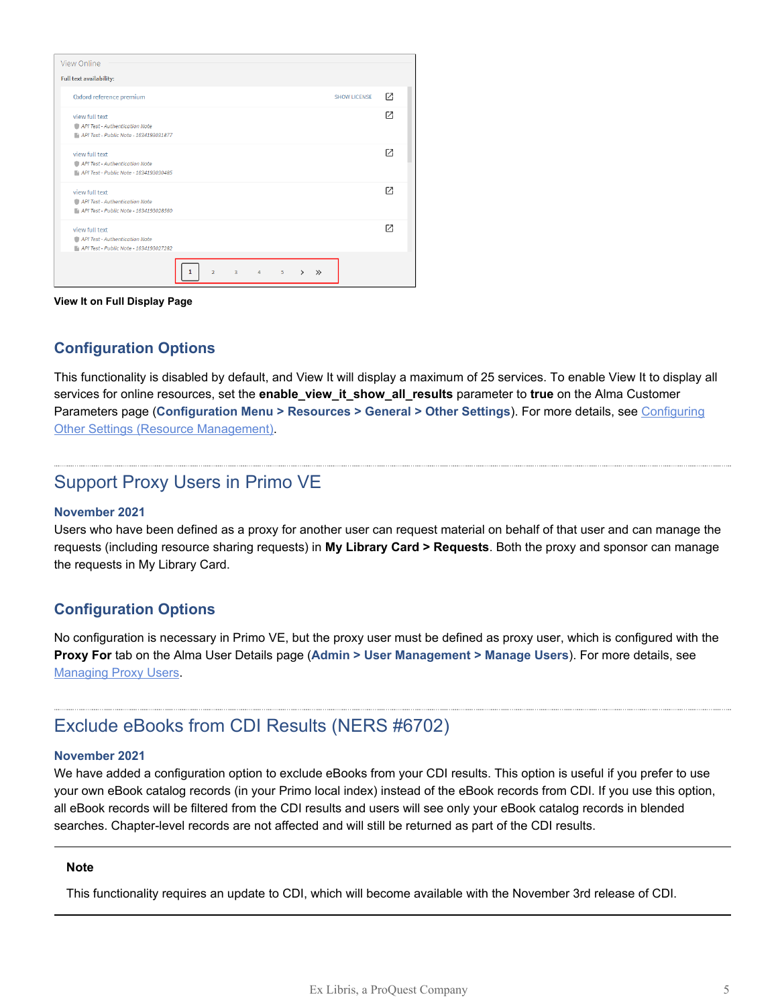| View Online                                                                                |                                                           |                           |
|--------------------------------------------------------------------------------------------|-----------------------------------------------------------|---------------------------|
| Full text availability:                                                                    |                                                           |                           |
| Oxford reference premium                                                                   |                                                           | Г7<br><b>SHOW LICENSE</b> |
| view full text<br>API Test - Authentication Note<br>API Test - Public Note - 1634193031877 |                                                           | Г4                        |
| view full text<br>API Test - Authentication Note<br>API Test - Public Note - 1634193030485 |                                                           | г4                        |
| view full text<br>API Test - Authentication Note<br>API Test - Public Note - 1634193028560 |                                                           | Г4                        |
| view full text<br>API Test - Authentication Note<br>API Test - Public Note - 1634193027282 |                                                           | г4                        |
| $\overline{2}$                                                                             | $\overline{\mathbf{3}}$<br>5<br>$\mathcal{P}$<br>$\Delta$ | $\gg$                     |

**View It on Full Display Page**

### **Configuration Options**

This functionality is disabled by default, and View It will display a maximum of 25 services. To enable View It to display all services for online resources, set the **enable\_view\_it\_show\_all\_results** parameter to **true** on the Alma Customer Parameters page (**Configuration Menu > Resources > General > Other Settings**). For more details, see [Configuring](https://knowledge.exlibrisgroup.com/Alma/Product_Documentation/010Alma_Online_Help_(English)/040Resource_Management/080Configuring_Resource_Management/060Configuring_Other_Settings) [Other Settings \(Resource Management\)](https://knowledge.exlibrisgroup.com/Alma/Product_Documentation/010Alma_Online_Help_(English)/040Resource_Management/080Configuring_Resource_Management/060Configuring_Other_Settings).

### Support Proxy Users in Primo VE

#### **November 2021**

Users who have been defined as a proxy for another user can request material on behalf of that user and can manage the requests (including resource sharing requests) in **My Library Card > Requests**. Both the proxy and sponsor can manage the requests in My Library Card.

### **Configuration Options**

No configuration is necessary in Primo VE, but the proxy user must be defined as proxy user, which is configured with the **Proxy For** tab on the Alma User Details page (**Admin > User Management > Manage Users**). For more details, see [Managing Proxy Users](https://knowledge.exlibrisgroup.com/Alma/Product_Documentation/010Alma_Online_Help_(English)/050Administration/030User_Management/010Managing_Users#Managing_Proxy_Users).

### Exclude eBooks from CDI Results (NERS #6702)

#### **November 2021**

We have added a configuration option to exclude eBooks from your CDI results. This option is useful if you prefer to use your own eBook catalog records (in your Primo local index) instead of the eBook records from CDI. If you use this option, all eBook records will be filtered from the CDI results and users will see only your eBook catalog records in blended searches. Chapter-level records are not affected and will still be returned as part of the CDI results.

#### **Note**

This functionality requires an update to CDI, which will become available with the November 3rd release of CDI.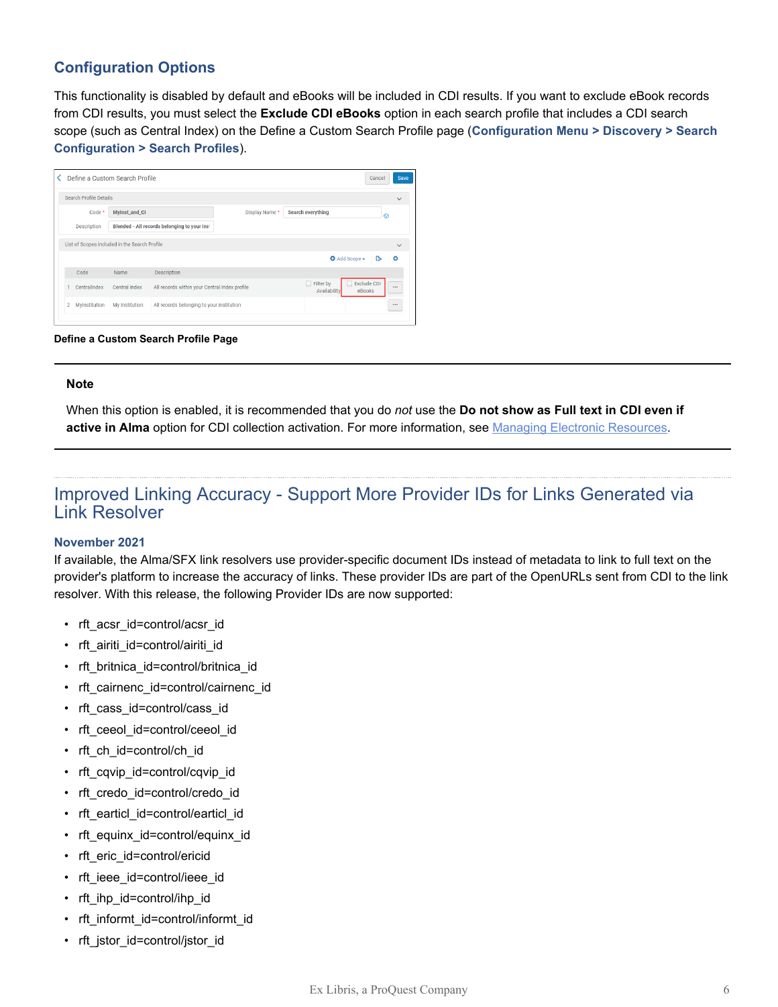### **Configuration Options**

This functionality is disabled by default and eBooks will be included in CDI results. If you want to exclude eBook records from CDI results, you must select the **Exclude CDI eBooks** option in each search profile that includes a CDI search scope (such as Central Index) on the Define a Custom Search Profile page (**Configuration Menu > Discovery > Search Configuration > Search Profiles**).

| Search Profile Details |               |                                               |                |                                  |                                          |
|------------------------|---------------|-----------------------------------------------|----------------|----------------------------------|------------------------------------------|
| Code *                 | MyInst_and_CI |                                               | Display Name * | <b>Search everything</b>         | ര                                        |
| <b>Description</b>     |               | Blended - All records belonging to your inst  |                |                                  |                                          |
|                        |               |                                               |                |                                  |                                          |
|                        |               |                                               |                | Add Scope -                      | ٢<br>Δ                                   |
| Code                   | Name          | <b>Description</b>                            |                |                                  |                                          |
| CentralIndex           | Central Index | All records within your Central Index profile |                | $\Box$ Filter by<br>Availability | <b>Exclude CDI</b><br>$\cdots$<br>eBooks |

#### **Define a Custom Search Profile Page**

#### **Note**

When this option is enabled, it is recommended that you do *not* use the **Do not show as Full text in CDI even if** active in Alma option for CDI collection activation. For more information, see [Managing Electronic Resources](https://knowledge.exlibrisgroup.com/Alma/Product_Documentation/010Alma_Online_Help_(English)/Electronic_Resource_Management/030_Working_with_Local_Electronic_Resources/015Managing_Electronic_Resources#Adding_a_Local_Electronic_Collection).

### Improved Linking Accuracy - Support More Provider IDs for Links Generated via Link Resolver

#### **November 2021**

If available, the Alma/SFX link resolvers use provider-specific document IDs instead of metadata to link to full text on the provider's platform to increase the accuracy of links. These provider IDs are part of the OpenURLs sent from CDI to the link resolver. With this release, the following Provider IDs are now supported:

- rft acsr\_id=control/acsr\_id
- rft airiti id=control/airiti id
- rft\_britnica\_id=control/britnica\_id
- rft cairnenc id=control/cairnenc id
- rft\_cass\_id=control/cass\_id
- rft\_ceeol\_id=control/ceeol\_id
- rft\_ch\_id=control/ch\_id
- rft\_cqvip\_id=control/cqvip\_id
- rft\_credo\_id=control/credo\_id
- rft\_earticl\_id=control/earticl\_id
- rft\_equinx\_id=control/equinx\_id
- rft\_eric\_id=control/ericid
- rft ieee id=control/ieee id
- rft\_ihp\_id=control/ihp\_id
- rft\_informt\_id=control/informt\_id
- rft\_jstor\_id=control/jstor\_id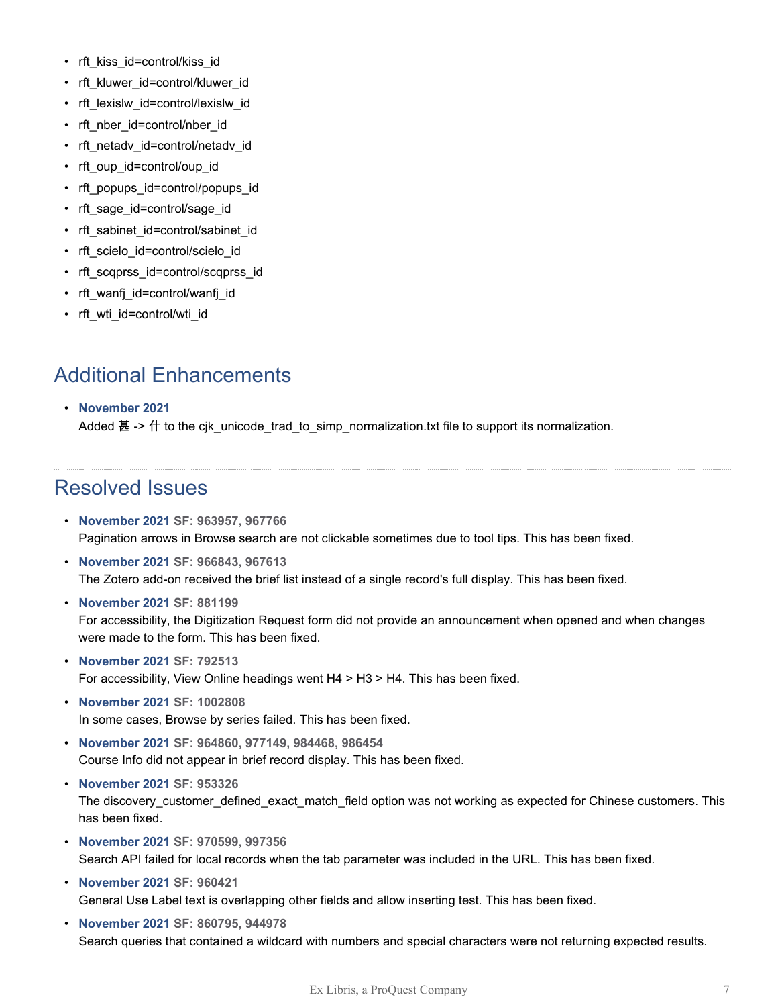- rft\_kiss\_id=control/kiss\_id
- rft\_kluwer\_id=control/kluwer\_id
- rft\_lexislw\_id=control/lexislw\_id
- rft\_nber\_id=control/nber\_id
- rft\_netadv\_id=control/netadv\_id
- rft\_oup\_id=control/oup\_id
- rft\_popups\_id=control/popups\_id
- rft\_sage\_id=control/sage\_id
- rft\_sabinet\_id=control/sabinet\_id
- rft\_scielo\_id=control/scielo\_id
- rft\_scqprss\_id=control/scqprss\_id
- rft\_wanfj\_id=control/wanfj\_id
- rft\_wti\_id=control/wti\_id

# Additional Enhancements

### • **November 2021**

Added 甚 -> 什 to the cjk\_unicode\_trad\_to\_simp\_normalization.txt file to support its normalization.

## Resolved Issues

- **November 2021 SF: 963957, 967766** Pagination arrows in Browse search are not clickable sometimes due to tool tips. This has been fixed.
- **November 2021 SF: 966843, 967613** The Zotero add-on received the brief list instead of a single record's full display. This has been fixed.
- **November 2021 SF: 881199** For accessibility, the Digitization Request form did not provide an announcement when opened and when changes were made to the form. This has been fixed.
- **November 2021 SF: 792513** For accessibility, View Online headings went H4 > H3 > H4. This has been fixed.
- **November 2021 SF: 1002808** In some cases, Browse by series failed. This has been fixed.
- **November 2021 SF: 964860, 977149, 984468, 986454** Course Info did not appear in brief record display. This has been fixed.
- **November 2021 SF: 953326** The discovery\_customer\_defined\_exact\_match\_field option was not working as expected for Chinese customers. This has been fixed.
- **November 2021 SF: 970599, 997356** Search API failed for local records when the tab parameter was included in the URL. This has been fixed.
- **November 2021 SF: 960421** General Use Label text is overlapping other fields and allow inserting test. This has been fixed.
- **November 2021 SF: 860795, 944978** Search queries that contained a wildcard with numbers and special characters were not returning expected results.